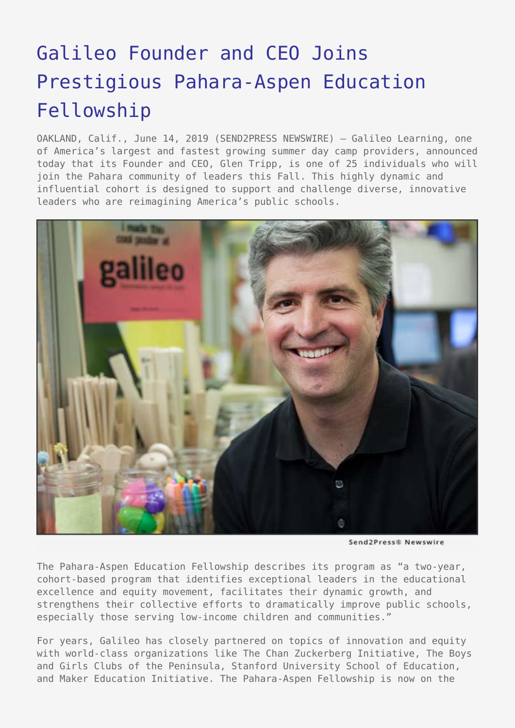## [Galileo Founder and CEO Joins](https://www.send2press.com/wire/galileo-founder-and-ceo-joins-prestigious-pahara-aspen-education-fellowship/) [Prestigious Pahara-Aspen Education](https://www.send2press.com/wire/galileo-founder-and-ceo-joins-prestigious-pahara-aspen-education-fellowship/) [Fellowship](https://www.send2press.com/wire/galileo-founder-and-ceo-joins-prestigious-pahara-aspen-education-fellowship/)

OAKLAND, Calif., June 14, 2019 (SEND2PRESS NEWSWIRE) — Galileo Learning, one of America's largest and fastest growing summer day camp providers, announced today that its Founder and CEO, Glen Tripp, is one of 25 individuals who will join the Pahara community of leaders this Fall. This highly dynamic and influential cohort is designed to support and challenge diverse, innovative leaders who are reimagining America's public schools.



Send2Press® Newswire

The Pahara-Aspen Education Fellowship describes its program as "a two-year, cohort-based program that identifies exceptional leaders in the educational excellence and equity movement, facilitates their dynamic growth, and strengthens their collective efforts to dramatically improve public schools, especially those serving low-income children and communities."

For years, Galileo has closely partnered on topics of innovation and equity with world-class organizations like The Chan Zuckerberg Initiative, The Boys and Girls Clubs of the Peninsula, Stanford University School of Education, and Maker Education Initiative. The Pahara-Aspen Fellowship is now on the